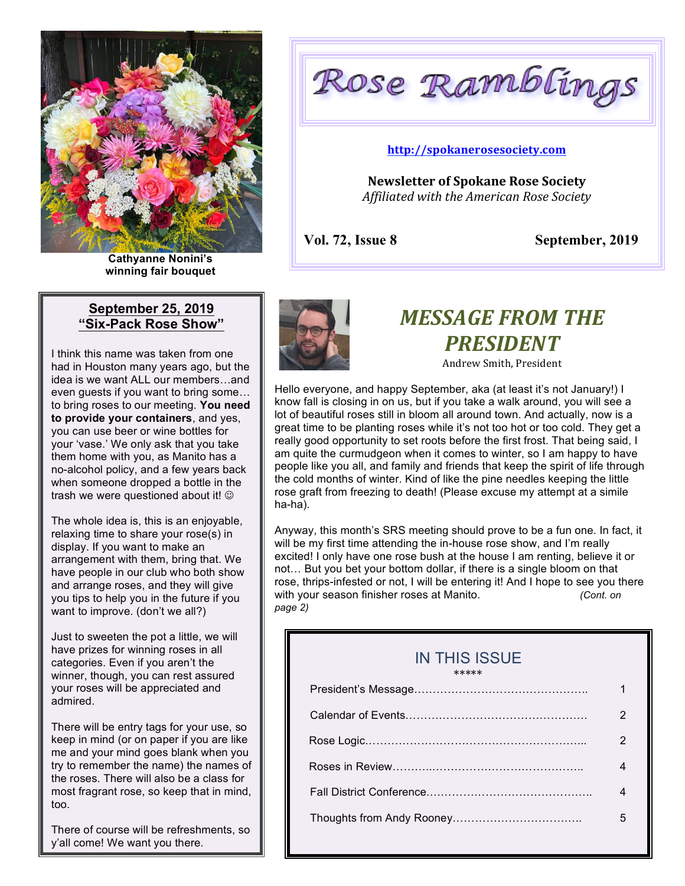

**Cathyanne Nonini's winning fair bouquet** 

# **September 25, 2019 "Six-Pack Rose Show"**

I think this name was taken from one had in Houston many years ago, but the idea is we want ALL our members…and even guests if you want to bring some… to bring roses to our meeting. **You need to provide your containers**, and yes, you can use beer or wine bottles for your 'vase.' We only ask that you take them home with you, as Manito has a no-alcohol policy, and a few years back when someone dropped a bottle in the trash we were questioned about it!  $\odot$ 

The whole idea is, this is an enjoyable, relaxing time to share your rose(s) in display. If you want to make an arrangement with them, bring that. We have people in our club who both show and arrange roses, and they will give you tips to help you in the future if you want to improve. (don't we all?)

Just to sweeten the pot a little, we will have prizes for winning roses in all categories. Even if you aren't the winner, though, you can rest assured your roses will be appreciated and admired.

There will be entry tags for your use, so keep in mind (or on paper if you are like me and your mind goes blank when you try to remember the name) the names of the roses. There will also be a class for most fragrant rose, so keep that in mind, too.

There of course will be refreshments, so y'all come! We want you there.

Rose Ramblings

## **http://spokanerosesociety.com**

**Newsletter of Spokane Rose Society** *Affiliated with the American Rose Society*

**Vol. 72, Issue 8 September, 2019**



# **MESSAGE FROM THE** *PRESIDENT*

Andrew Smith, President

Hello everyone, and happy September, aka (at least it's not January!) I know fall is closing in on us, but if you take a walk around, you will see a lot of beautiful roses still in bloom all around town. And actually, now is a great time to be planting roses while it's not too hot or too cold. They get a really good opportunity to set roots before the first frost. That being said, I am quite the curmudgeon when it comes to winter, so I am happy to have people like you all, and family and friends that keep the spirit of life through the cold months of winter. Kind of like the pine needles keeping the little rose graft from freezing to death! (Please excuse my attempt at a simile ha-ha).

Anyway, this month's SRS meeting should prove to be a fun one. In fact, it will be my first time attending the in-house rose show, and I'm really excited! I only have one rose bush at the house I am renting, believe it or not… But you bet your bottom dollar, if there is a single bloom on that rose, thrips-infested or not, I will be entering it! And I hope to see you there with your season finisher roses at Manito. *(Cont. on*) *page 2)*

# IN THIS ISSUE

\*\*\*\*\* President's Message……………………………………….. 1 Calendar of Events…………………………………………. 2 Rose Logic…………………………………………………... 2 Roses in Review………..………………………………….. 4 Fall District Conference.…………………………………….. 4 Thoughts from Andy Rooney…………………………….. 5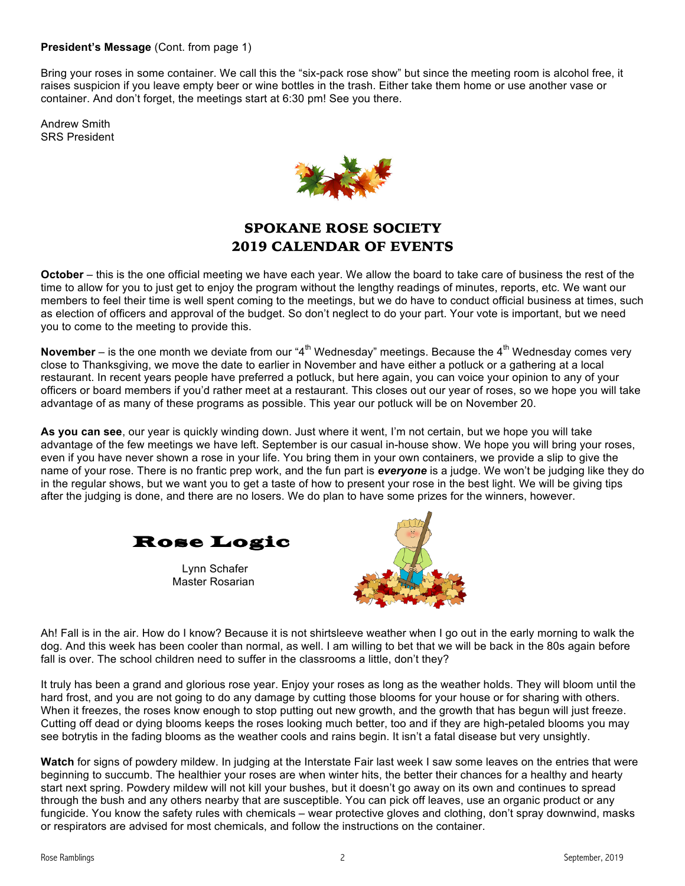### **President's Message** (Cont. from page 1)

Bring your roses in some container. We call this the "six-pack rose show" but since the meeting room is alcohol free, it raises suspicion if you leave empty beer or wine bottles in the trash. Either take them home or use another vase or container. And don't forget, the meetings start at 6:30 pm! See you there.

Andrew Smith SRS President



# SPOKANE ROSE SOCIETY 2019 CALENDAR OF EVENTS

**October** – this is the one official meeting we have each year. We allow the board to take care of business the rest of the time to allow for you to just get to enjoy the program without the lengthy readings of minutes, reports, etc. We want our members to feel their time is well spent coming to the meetings, but we do have to conduct official business at times, such as election of officers and approval of the budget. So don't neglect to do your part. Your vote is important, but we need you to come to the meeting to provide this.

**November** – is the one month we deviate from our "4<sup>th</sup> Wednesday" meetings. Because the 4<sup>th</sup> Wednesday comes very close to Thanksgiving, we move the date to earlier in November and have either a potluck or a gathering at a local restaurant. In recent years people have preferred a potluck, but here again, you can voice your opinion to any of your officers or board members if you'd rather meet at a restaurant. This closes out our year of roses, so we hope you will take advantage of as many of these programs as possible. This year our potluck will be on November 20.

**As you can see**, our year is quickly winding down. Just where it went, I'm not certain, but we hope you will take advantage of the few meetings we have left. September is our casual in-house show. We hope you will bring your roses, even if you have never shown a rose in your life. You bring them in your own containers, we provide a slip to give the name of your rose. There is no frantic prep work, and the fun part is *everyone* is a judge. We won't be judging like they do in the regular shows, but we want you to get a taste of how to present your rose in the best light. We will be giving tips after the judging is done, and there are no losers. We do plan to have some prizes for the winners, however.

Rose Logic

 Lynn Schafer Master Rosarian



Ah! Fall is in the air. How do I know? Because it is not shirtsleeve weather when I go out in the early morning to walk the dog. And this week has been cooler than normal, as well. I am willing to bet that we will be back in the 80s again before fall is over. The school children need to suffer in the classrooms a little, don't they?

It truly has been a grand and glorious rose year. Enjoy your roses as long as the weather holds. They will bloom until the hard frost, and you are not going to do any damage by cutting those blooms for your house or for sharing with others. When it freezes, the roses know enough to stop putting out new growth, and the growth that has begun will just freeze. Cutting off dead or dying blooms keeps the roses looking much better, too and if they are high-petaled blooms you may see botrytis in the fading blooms as the weather cools and rains begin. It isn't a fatal disease but very unsightly.

**Watch** for signs of powdery mildew. In judging at the Interstate Fair last week I saw some leaves on the entries that were beginning to succumb. The healthier your roses are when winter hits, the better their chances for a healthy and hearty start next spring. Powdery mildew will not kill your bushes, but it doesn't go away on its own and continues to spread through the bush and any others nearby that are susceptible. You can pick off leaves, use an organic product or any fungicide. You know the safety rules with chemicals – wear protective gloves and clothing, don't spray downwind, masks or respirators are advised for most chemicals, and follow the instructions on the container.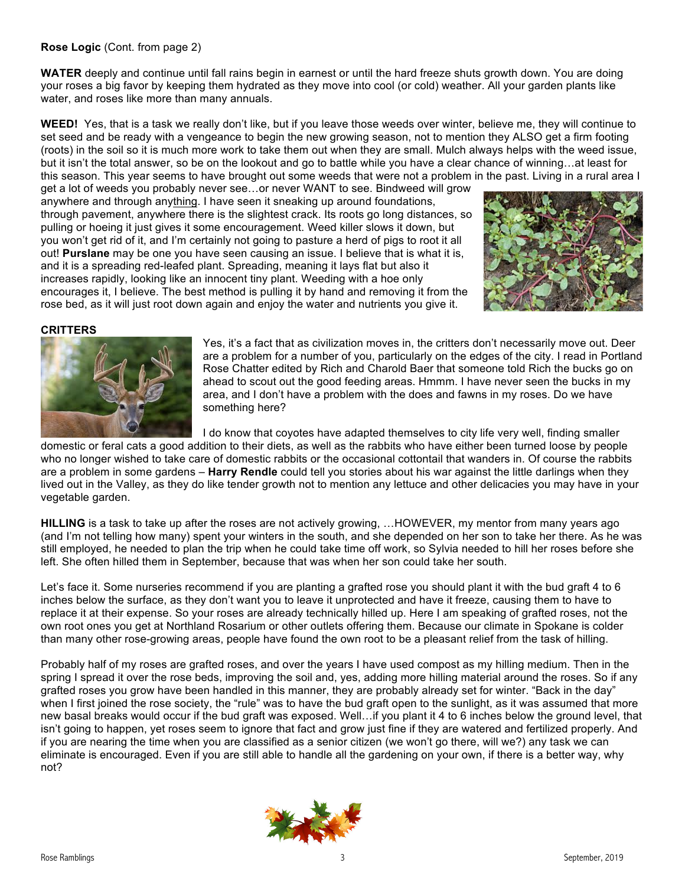### **Rose Logic** (Cont. from page 2)

**WATER** deeply and continue until fall rains begin in earnest or until the hard freeze shuts growth down. You are doing your roses a big favor by keeping them hydrated as they move into cool (or cold) weather. All your garden plants like water, and roses like more than many annuals.

**WEED!** Yes, that is a task we really don't like, but if you leave those weeds over winter, believe me, they will continue to set seed and be ready with a vengeance to begin the new growing season, not to mention they ALSO get a firm footing (roots) in the soil so it is much more work to take them out when they are small. Mulch always helps with the weed issue, but it isn't the total answer, so be on the lookout and go to battle while you have a clear chance of winning…at least for this season. This year seems to have brought out some weeds that were not a problem in the past. Living in a rural area I

get a lot of weeds you probably never see…or never WANT to see. Bindweed will grow anywhere and through anything. I have seen it sneaking up around foundations, through pavement, anywhere there is the slightest crack. Its roots go long distances, so pulling or hoeing it just gives it some encouragement. Weed killer slows it down, but you won't get rid of it, and I'm certainly not going to pasture a herd of pigs to root it all out! **Purslane** may be one you have seen causing an issue. I believe that is what it is, and it is a spreading red-leafed plant. Spreading, meaning it lays flat but also it increases rapidly, looking like an innocent tiny plant. Weeding with a hoe only encourages it, I believe. The best method is pulling it by hand and removing it from the rose bed, as it will just root down again and enjoy the water and nutrients you give it.



#### **CRITTERS**



Yes, it's a fact that as civilization moves in, the critters don't necessarily move out. Deer are a problem for a number of you, particularly on the edges of the city. I read in Portland Rose Chatter edited by Rich and Charold Baer that someone told Rich the bucks go on ahead to scout out the good feeding areas. Hmmm. I have never seen the bucks in my area, and I don't have a problem with the does and fawns in my roses. Do we have something here?

I do know that coyotes have adapted themselves to city life very well, finding smaller

domestic or feral cats a good addition to their diets, as well as the rabbits who have either been turned loose by people who no longer wished to take care of domestic rabbits or the occasional cottontail that wanders in. Of course the rabbits are a problem in some gardens – **Harry Rendle** could tell you stories about his war against the little darlings when they lived out in the Valley, as they do like tender growth not to mention any lettuce and other delicacies you may have in your vegetable garden.

**HILLING** is a task to take up after the roses are not actively growing, …HOWEVER, my mentor from many years ago (and I'm not telling how many) spent your winters in the south, and she depended on her son to take her there. As he was still employed, he needed to plan the trip when he could take time off work, so Sylvia needed to hill her roses before she left. She often hilled them in September, because that was when her son could take her south.

Let's face it. Some nurseries recommend if you are planting a grafted rose you should plant it with the bud graft 4 to 6 inches below the surface, as they don't want you to leave it unprotected and have it freeze, causing them to have to replace it at their expense. So your roses are already technically hilled up. Here I am speaking of grafted roses, not the own root ones you get at Northland Rosarium or other outlets offering them. Because our climate in Spokane is colder than many other rose-growing areas, people have found the own root to be a pleasant relief from the task of hilling.

Probably half of my roses are grafted roses, and over the years I have used compost as my hilling medium. Then in the spring I spread it over the rose beds, improving the soil and, yes, adding more hilling material around the roses. So if any grafted roses you grow have been handled in this manner, they are probably already set for winter. "Back in the day" when I first joined the rose society, the "rule" was to have the bud graft open to the sunlight, as it was assumed that more new basal breaks would occur if the bud graft was exposed. Well…if you plant it 4 to 6 inches below the ground level, that isn't going to happen, yet roses seem to ignore that fact and grow just fine if they are watered and fertilized properly. And if you are nearing the time when you are classified as a senior citizen (we won't go there, will we?) any task we can eliminate is encouraged. Even if you are still able to handle all the gardening on your own, if there is a better way, why not?

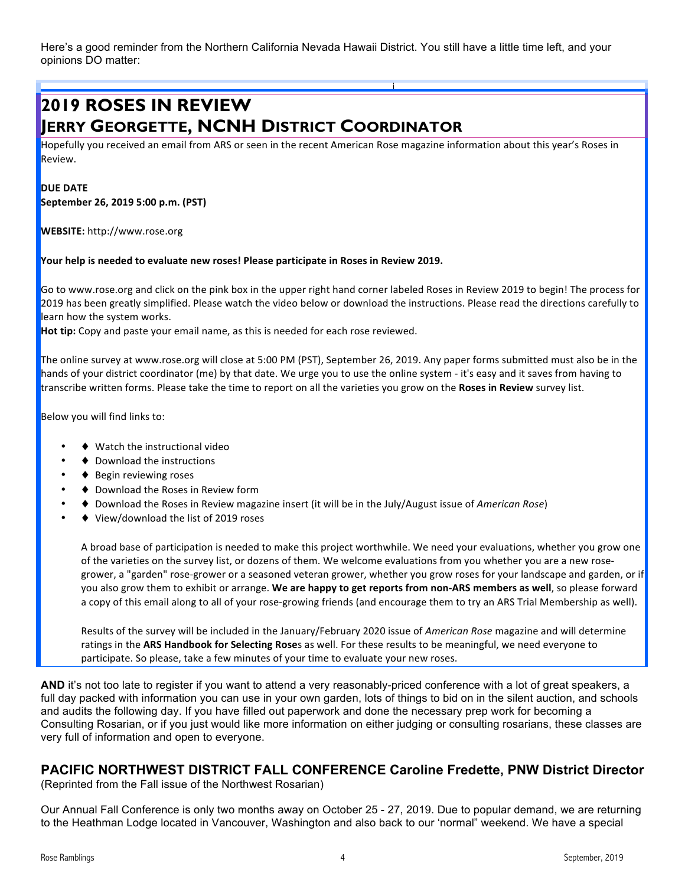Here's a good reminder from the Northern California Nevada Hawaii District. You still have a little time left, and your opinions DO matter:

# **2019 ROSES IN REVIEW JERRY GEORGETTE, NCNH DISTRICT COORDINATOR**

Hopefully you received an email from ARS or seen in the recent American Rose magazine information about this year's Roses in Review. 

## **DUE DATE**

**September 26, 2019 5:00 p.m. (PST)** 

**WEBSITE:** http://www.rose.org 

#### **Your help is needed to evaluate new roses! Please participate in Roses in Review 2019.**

Go to www.rose.org and click on the pink box in the upper right hand corner labeled Roses in Review 2019 to begin! The process for 2019 has been greatly simplified. Please watch the video below or download the instructions. Please read the directions carefully to learn how the system works.

Hot tip: Copy and paste your email name, as this is needed for each rose reviewed.

The online survey at www.rose.org will close at 5:00 PM (PST), September 26, 2019. Any paper forms submitted must also be in the hands of your district coordinator (me) by that date. We urge you to use the online system - it's easy and it saves from having to transcribe written forms. Please take the time to report on all the varieties you grow on the Roses in Review survey list.

Below you will find links to:

- $\blacklozenge$  Watch the instructional video
- $\blacklozenge$  Download the instructions
- $\blacklozenge$  Begin reviewing roses
- Download the Roses in Review form
- ◆ Download the Roses in Review magazine insert (it will be in the July/August issue of *American Rose*)
- ♦ View/download the list of 2019 roses

A broad base of participation is needed to make this project worthwhile. We need your evaluations, whether you grow one of the varieties on the survey list, or dozens of them. We welcome evaluations from you whether you are a new rosegrower, a "garden" rose-grower or a seasoned veteran grower, whether you grow roses for your landscape and garden, or if you also grow them to exhibit or arrange. We are happy to get reports from non-ARS members as well, so please forward a copy of this email along to all of your rose-growing friends (and encourage them to try an ARS Trial Membership as well).

Results of the survey will be included in the January/February 2020 issue of *American Rose* magazine and will determine ratings in the ARS Handbook for Selecting Roses as well. For these results to be meaningful, we need everyone to participate. So please, take a few minutes of your time to evaluate your new roses.

**AND** it's not too late to register if you want to attend a very reasonably-priced conference with a lot of great speakers, a full day packed with information you can use in your own garden, lots of things to bid on in the silent auction, and schools and audits the following day. If you have filled out paperwork and done the necessary prep work for becoming a Consulting Rosarian, or if you just would like more information on either judging or consulting rosarians, these classes are very full of information and open to everyone.

## **PACIFIC NORTHWEST DISTRICT FALL CONFERENCE Caroline Fredette, PNW District Director**

(Reprinted from the Fall issue of the Northwest Rosarian)

Our Annual Fall Conference is only two months away on October 25 - 27, 2019. Due to popular demand, we are returning to the Heathman Lodge located in Vancouver, Washington and also back to our 'normal" weekend. We have a special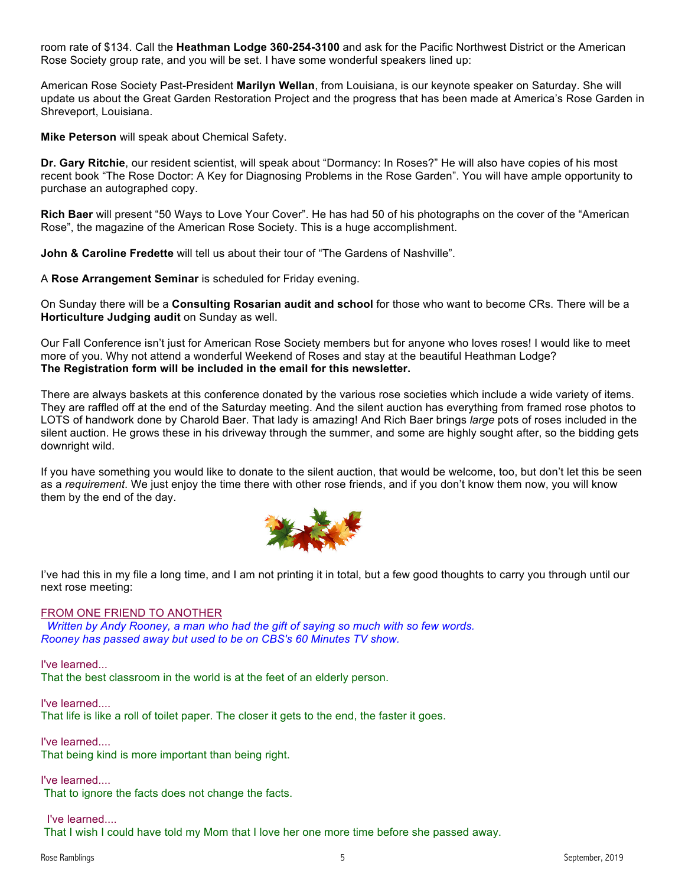room rate of \$134. Call the **Heathman Lodge 360-254-3100** and ask for the Pacific Northwest District or the American Rose Society group rate, and you will be set. I have some wonderful speakers lined up:

American Rose Society Past-President **Marilyn Wellan**, from Louisiana, is our keynote speaker on Saturday. She will update us about the Great Garden Restoration Project and the progress that has been made at America's Rose Garden in Shreveport, Louisiana.

**Mike Peterson** will speak about Chemical Safety.

**Dr. Gary Ritchie**, our resident scientist, will speak about "Dormancy: In Roses?" He will also have copies of his most recent book "The Rose Doctor: A Key for Diagnosing Problems in the Rose Garden". You will have ample opportunity to purchase an autographed copy.

**Rich Baer** will present "50 Ways to Love Your Cover". He has had 50 of his photographs on the cover of the "American Rose", the magazine of the American Rose Society. This is a huge accomplishment.

**John & Caroline Fredette** will tell us about their tour of "The Gardens of Nashville".

A **Rose Arrangement Seminar** is scheduled for Friday evening.

On Sunday there will be a **Consulting Rosarian audit and school** for those who want to become CRs. There will be a **Horticulture Judging audit** on Sunday as well.

Our Fall Conference isn't just for American Rose Society members but for anyone who loves roses! I would like to meet more of you. Why not attend a wonderful Weekend of Roses and stay at the beautiful Heathman Lodge? **The Registration form will be included in the email for this newsletter.**

There are always baskets at this conference donated by the various rose societies which include a wide variety of items. They are raffled off at the end of the Saturday meeting. And the silent auction has everything from framed rose photos to LOTS of handwork done by Charold Baer. That lady is amazing! And Rich Baer brings *large* pots of roses included in the silent auction. He grows these in his driveway through the summer, and some are highly sought after, so the bidding gets downright wild.

If you have something you would like to donate to the silent auction, that would be welcome, too, but don't let this be seen as a *requirement*. We just enjoy the time there with other rose friends, and if you don't know them now, you will know them by the end of the day.



I've had this in my file a long time, and I am not printing it in total, but a few good thoughts to carry you through until our next rose meeting:

#### FROM ONE FRIEND TO ANOTHER

 *Written by Andy Rooney, a man who had the gift of saying so much with so few words. Rooney has passed away but used to be on CBS's 60 Minutes TV show.*

I've learned... That the best classroom in the world is at the feet of an elderly person.

I've learned.... That life is like a roll of toilet paper. The closer it gets to the end, the faster it goes.

I've learned.... That being kind is more important than being right.

I've learned....

That to ignore the facts does not change the facts.

I've learned....

That I wish I could have told my Mom that I love her one more time before she passed away.